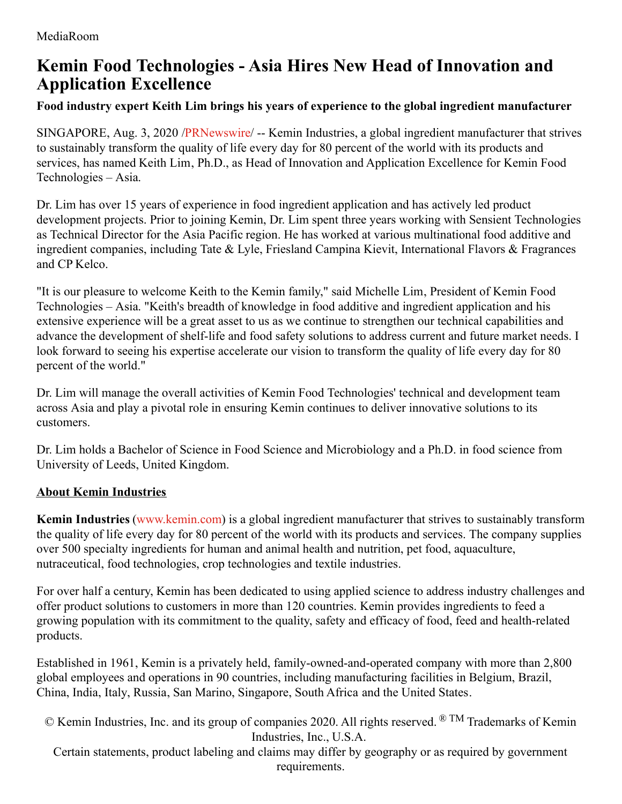## **Kemin Food Technologies - Asia Hires New Head of Innovation and Application Excellence**

## **Food industry expert Keith Lim brings his years of experience to the global ingredient manufacturer**

SINGAPORE, Aug. 3, 2020 [/PRNewswire](http://www.prnewswire.com/)/ -- Kemin Industries, a global ingredient manufacturer that strives to sustainably transform the quality of life every day for 80 percent of the world with its products and services, has named Keith Lim, Ph.D., as Head of Innovation and Application Excellence for Kemin Food Technologies – Asia.

Dr. Lim has over 15 years of experience in food ingredient application and has actively led product development projects. Prior to joining Kemin, Dr. Lim spent three years working with Sensient Technologies as Technical Director for the Asia Pacific region. He has worked at various multinational food additive and ingredient companies, including Tate & Lyle, Friesland Campina Kievit, International Flavors & Fragrances and CP Kelco.

"It is our pleasure to welcome Keith to the Kemin family," said Michelle Lim, President of Kemin Food Technologies – Asia. "Keith's breadth of knowledge in food additive and ingredient application and his extensive experience will be a great asset to us as we continue to strengthen our technical capabilities and advance the development of shelf-life and food safety solutions to address current and future market needs. I look forward to seeing his expertise accelerate our vision to transform the quality of life every day for 80 percent of the world."

Dr. Lim will manage the overall activities of Kemin Food Technologies' technical and development team across Asia and play a pivotal role in ensuring Kemin continues to deliver innovative solutions to its customers.

Dr. Lim holds a Bachelor of Science in Food Science and Microbiology and a Ph.D. in food science from University of Leeds, United Kingdom.

## **About Kemin Industries**

**Kemin Industries** [\(www.kemin.com](https://c212.net/c/link/?t=0&l=en&o=2874460-1&h=2030061096&u=http%3A%2F%2Fwww.kemin.com%2F&a=www.kemin.com)) is a global ingredient manufacturer that strives to sustainably transform the quality of life every day for 80 percent of the world with its products and services. The company supplies over 500 specialty ingredients for human and animal health and nutrition, pet food, aquaculture, nutraceutical, food technologies, crop technologies and textile industries.

For over half a century, Kemin has been dedicated to using applied science to address industry challenges and offer product solutions to customers in more than 120 countries. Kemin provides ingredients to feed a growing population with its commitment to the quality, safety and efficacy of food, feed and health-related products.

Established in 1961, Kemin is a privately held, family-owned-and-operated company with more than 2,800 global employees and operations in 90 countries, including manufacturing facilities in Belgium, Brazil, China, India, Italy, Russia, San Marino, Singapore, South Africa and the United States.

© Kemin Industries, Inc. and its group of companies 2020. All rights reserved. ® TM Trademarks of Kemin Industries, Inc., U.S.A.

Certain statements, product labeling and claims may differ by geography or as required by government requirements.